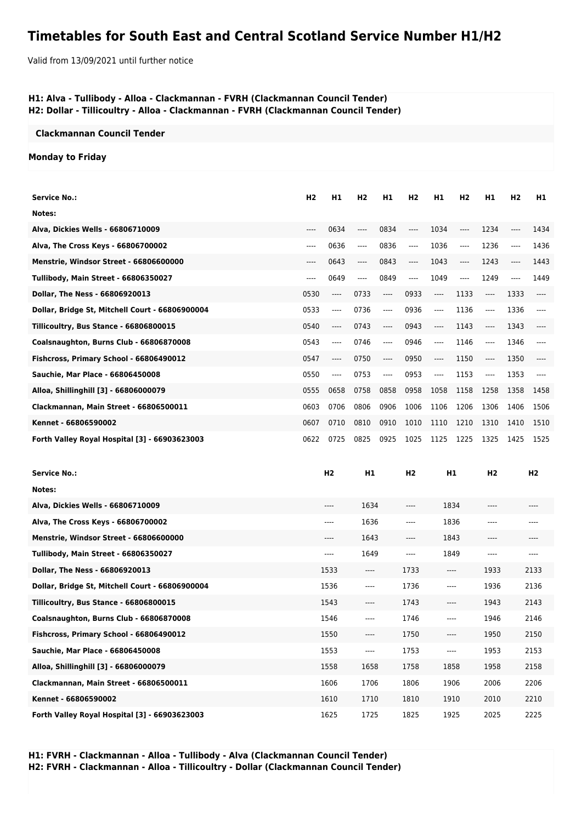# **Timetables for South East and Central Scotland Service Number H1/H2**

Valid from 13/09/2021 until further notice

### **H1: Alva - Tullibody - Alloa - Clackmannan - FVRH (Clackmannan Council Tender) H2: Dollar - Tillicoultry - Alloa - Clackmannan - FVRH (Clackmannan Council Tender)**

#### **Clackmannan Council Tender**

### **Monday to Friday**

| <b>Service No.:</b>                             | H <sub>2</sub> | H <sub>1</sub> | H <sub>2</sub> | H1    | H2    | H1    | H <sub>2</sub> | H <sub>1</sub> | H <sub>2</sub> | H1   |
|-------------------------------------------------|----------------|----------------|----------------|-------|-------|-------|----------------|----------------|----------------|------|
| Notes:                                          |                |                |                |       |       |       |                |                |                |      |
| Alva. Dickies Wells - 66806710009               | ----           | 0634           | ----           | 0834  | ----  | 1034  | ----           | 1234           |                | 1434 |
|                                                 |                |                |                |       |       |       |                |                |                |      |
| Alva, The Cross Keys - 66806700002              | ----           | 0636           | $\cdots$       | 0836  | $---$ | 1036  | ----           | 1236           | $\cdots$       | 1436 |
| Menstrie, Windsor Street - 66806600000          | ----           | 0643           | $---$          | 0843  | $---$ | 1043  | $---$          | 1243           | ----           | 1443 |
| Tullibody, Main Street - 66806350027            | ----           | 0649           | $---$          | 0849  | $---$ | 1049  | ----           | 1249           | ----           | 1449 |
| Dollar, The Ness - 66806920013                  | 0530           | ----           | 0733           | $---$ | 0933  | ----  | 1133           | ----           | 1333           |      |
| Dollar, Bridge St, Mitchell Court - 66806900004 | 0533           | ----           | 0736           | $---$ | 0936  | $---$ | 1136           | $---$          | 1336           |      |
| Tillicoultry, Bus Stance - 66806800015          | 0540           | ----           | 0743           | $---$ | 0943  | $---$ | 1143           | ----           | 1343           |      |
| Coalsnaughton, Burns Club - 66806870008         | 0543           | ----           | 0746           | ----  | 0946  | ----  | 1146           | ----           | 1346           |      |
| Fishcross, Primary School - 66806490012         | 0547           | ----           | 0750           | $---$ | 0950  | $---$ | 1150           | ----           | 1350           |      |
| Sauchie, Mar Place - 66806450008                | 0550           | ----           | 0753           | $---$ | 0953  | ----  | 1153           | $---$          | 1353           |      |
| Alloa, Shillinghill [3] - 66806000079           | 0555           | 0658           | 0758           | 0858  | 0958  | 1058  | 1158           | 1258           | 1358           | 1458 |
| Clackmannan, Main Street - 66806500011          | 0603           | 0706           | 0806           | 0906  | 1006  | 1106  | 1206           | 1306           | 1406           | 1506 |
| Kennet - 66806590002                            | 0607           | 0710           | 0810           | 0910  | 1010  | 1110  | 1210           | 1310           | 1410           | 1510 |
| Forth Valley Royal Hospital [3] - 66903623003   | 0622           | 0725           | 0825           | 0925  | 1025  | 1125  | 1225           | 1325           | 1425           | 1525 |

| <b>Service No.:</b>                             | H <sub>2</sub> | H1      | H <sub>2</sub> | H1       | H <sub>2</sub> | H <sub>2</sub> |
|-------------------------------------------------|----------------|---------|----------------|----------|----------------|----------------|
| Notes:                                          |                |         |                |          |                |                |
| Alva, Dickies Wells - 66806710009               | $---$          | 1634    | ----           | 1834     | ----           | $---$          |
| Alva, The Cross Keys - 66806700002              | $---$          | 1636    | ----           | 1836     | ----           | ----           |
| Menstrie, Windsor Street - 66806600000          | $---$          | 1643    | ----           | 1843     | ----           | ----           |
| Tullibody, Main Street - 66806350027            | $---$          | 1649    | ----           | 1849     | ----           | $---$          |
| Dollar, The Ness - 66806920013                  | 1533           | ----    | 1733           | $---$    | 1933           | 2133           |
| Dollar, Bridge St, Mitchell Court - 66806900004 | 1536           | ----    | 1736           | $---$    | 1936           | 2136           |
| Tillicoultry, Bus Stance - 66806800015          | 1543           | ----    | 1743           | $---$    | 1943           | 2143           |
| Coalsnaughton, Burns Club - 66806870008         | 1546           | ----    | 1746           | $---$    | 1946           | 2146           |
| Fishcross, Primary School - 66806490012         | 1550           | ----    | 1750           | $\cdots$ | 1950           | 2150           |
| Sauchie, Mar Place - 66806450008                | 1553           | $-----$ | 1753           | ----     | 1953           | 2153           |
| Alloa, Shillinghill [3] - 66806000079           | 1558           | 1658    | 1758           | 1858     | 1958           | 2158           |
| Clackmannan, Main Street - 66806500011          | 1606           | 1706    | 1806           | 1906     | 2006           | 2206           |
| Kennet - 66806590002                            | 1610           | 1710    | 1810           | 1910     | 2010           | 2210           |
| Forth Valley Royal Hospital [3] - 66903623003   | 1625           | 1725    | 1825           | 1925     | 2025           | 2225           |

**H1: FVRH - Clackmannan - Alloa - Tullibody - Alva (Clackmannan Council Tender) H2: FVRH - Clackmannan - Alloa - Tillicoultry - Dollar (Clackmannan Council Tender)**